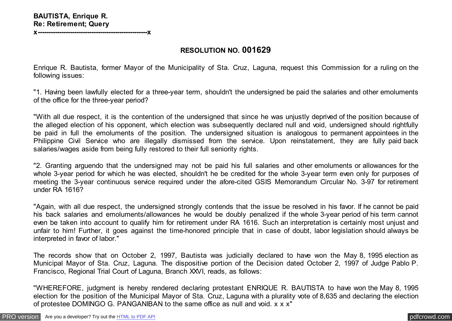**x---------------------------------------------------x**

## **RESOLUTION NO. 001629**

Enrique R. Bautista, former Mayor of the Municipality of Sta. Cruz, Laguna, request this Commission for a ruling on the following issues:

"1. Having been lawfully elected for a three-year term, shouldn't the undersigned be paid the salaries and other emoluments of the office for the three-year period?

"With all due respect, it is the contention of the undersigned that since he was unjustly deprived of the position because of the alleged election of his opponent, which election was subsequently declared null and void, undersigned should rightfully be paid in full the emoluments of the position. The undersigned situation is analogous to permanent appointees in the Philippine Civil Service who are illegally dismissed from the service. Upon reinstatement, they are fully paid back salaries/wages aside from being fully restored to their full seniority rights.

"2. Granting arguendo that the undersigned may not be paid his full salaries and other emoluments or allowances for the whole 3-year period for which he was elected, shouldn't he be credited for the whole 3-year term even only for purposes of meeting the 3-year continuous service required under the afore-cited GSIS Memorandum Circular No. 3-97 for retirement under RA 1616?

"Again, with all due respect, the undersigned strongly contends that the issue be resolved in his favor. If he cannot be paid his back salaries and emoluments/allowances he would be doubly penalized if the whole 3-year period of his term cannot even be taken into account to qualify him for retirement under RA 1616. Such an interpretation is certainly most unjust and unfair to him! Further, it goes against the time-honored principle that in case of doubt, labor legislation should always be interpreted in favor of labor."

The records show that on October 2, 1997, Bautista was judicially declared to have won the May 8, 1995 election as Municipal Mayor of Sta. Cruz, Laguna. The dispositive portion of the Decision dated October 2, 1997 of Judge Pablo P. Francisco, Regional Trial Court of Laguna, Branch XXVI, reads, as follows:

"WHEREFORE, judgment is hereby rendered declaring protestant ENRIQUE R. BAUTISTA to have won the May 8, 1995 election for the position of the Municipal Mayor of Sta. Cruz, Laguna with a plurality vote of 8,635 and declaring the election of protestee DOMINGO G. PANGANIBAN to the same office as null and void. x x x"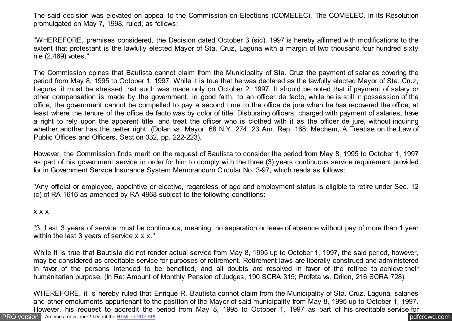The said decision was elevated on appeal to the Commission on Elections (COMELEC). The COMELEC, in its Resolution promulgated on May 7, 1998, ruled, as follows:

"WHEREFORE, premises considered, the Decision dated October 3 (sic), 1997 is hereby affirmed with modifications to the extent that protestant is the lawfully elected Mayor of Sta. Cruz, Laguna with a margin of two thousand four hundred sixty nie (2,469) votes."

The Commission opines that Bautista cannot claim from the Municipality of Sta. Cruz the payment of salaries covering the period from May 8, 1995 to October 1, 1997. While it is true that he was declared as the lawfully elected Mayor of Sta. Cruz, Laguna, it must be stressed that such was made only on October 2, 1997. It should be noted that if payment of salary or other compensation is made by the government, in good faith, to an officer de facto, while he is still in possession of the office, the government cannot be compelled to pay a second time to the office de jure when he has recovered the office, at least where the tenure of the office de facto was by color of title. Disbursing officers, charged with payment of salaries, have a right to rely upon the apparent title, and treat the officer who is clothed with it as the officer de jure, without inquiring whether another has the better right. (Dolan vs. Mayor, 68 N.Y. 274, 23 Am. Rep. 168; Mechem, A Treatise on the Law of Public Offices and Officers, Section 332, pp. 222-223).

However, the Commission finds merit on the request of Bautista to consider the period from May 8, 1995 to October 1, 1997 as part of his government service in order for him to comply with the three (3) years continuous service requirement provided for in Government Service Insurance System Memorandum Circular No. 3-97, which reads as follows:

"Any official or employee, appointive or elective, regardless of age and employment status is eligible to retire under Sec. 12 (c) of RA 1616 as amended by RA 4968 subject to the following conditions:

## x x x

"3. Last 3 years of service must be continuous, meaning, no separation or leave of absence without pay of more than 1 year within the last 3 years of service x x x."

While it is true that Bautista did not render actual service from May 8, 1995 up to October 1, 1997, the said period, however, may be considered as creditable service for purposes of retirement. Retirement laws are liberally construed and administered in favor of the persons intended to be benefited, and all doubts are resolved in favor of the retiree to achieve their humanitarian purpose. (In Re: Amount of Monthly Pension of Judges, 190 SCRA 315; Profeta vs. Drilon, 216 SCRA 728)

[PRO version](http://pdfcrowd.com/customize/) Are you a developer? Try out th[e HTML to PDF API](http://pdfcrowd.com/html-to-pdf-api/?ref=pdf) process and the community of the HTML to PDF API posterior and the community of the community of the community of the community of the community of the community WHEREFORE, it is hereby ruled that Enrique R. Bautista cannot claim from the Municipality of Sta. Cruz, Laguna, salaries and other emoluments appurtenant to the position of the Mayor of said municipality from May 8, 1995 up to October 1, 1997. However, his request to accredit the period from May 8, 1995 to October 1, 1997 as part of his creditable service for